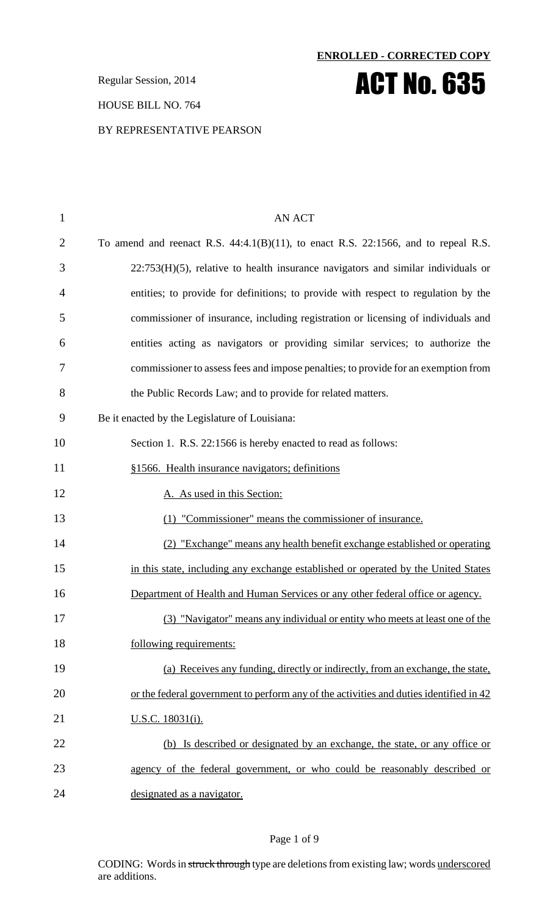**Regular Session, 2014 ACT No. 635** 

#### HOUSE BILL NO. 764

#### BY REPRESENTATIVE PEARSON

# 1 AN ACT 2 To amend and reenact R.S. 44:4.1(B)(11), to enact R.S. 22:1566, and to repeal R.S. 3 22:753(H)(5), relative to health insurance navigators and similar individuals or 4 entities; to provide for definitions; to provide with respect to regulation by the 5 commissioner of insurance, including registration or licensing of individuals and 6 entities acting as navigators or providing similar services; to authorize the 7 commissioner to assess fees and impose penalties; to provide for an exemption from 8 the Public Records Law; and to provide for related matters. 9 Be it enacted by the Legislature of Louisiana: 10 Section 1. R.S. 22:1566 is hereby enacted to read as follows: 11 §1566. Health insurance navigators; definitions 12 A. As used in this Section: 13 (1) "Commissioner" means the commissioner of insurance. 14 (2) "Exchange" means any health benefit exchange established or operating 15 in this state, including any exchange established or operated by the United States 16 Department of Health and Human Services or any other federal office or agency. 17 (3) "Navigator" means any individual or entity who meets at least one of the 18 following requirements: 19 (a) Receives any funding, directly or indirectly, from an exchange, the state, 20 or the federal government to perform any of the activities and duties identified in 42 21 U.S.C. 18031(i). 22 (b) Is described or designated by an exchange, the state, or any office or 23 agency of the federal government, or who could be reasonably described or 24 designated as a navigator.

**ENROLLED - CORRECTED COPY**

#### Page 1 of 9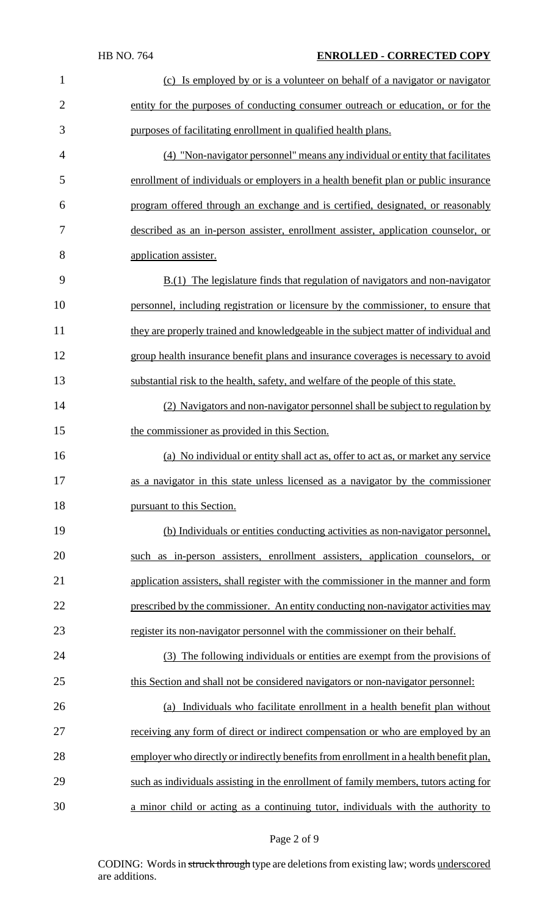| $\mathbf{1}$   | (c) Is employed by or is a volunteer on behalf of a navigator or navigator             |
|----------------|----------------------------------------------------------------------------------------|
| $\overline{2}$ | entity for the purposes of conducting consumer outreach or education, or for the       |
| 3              | purposes of facilitating enrollment in qualified health plans.                         |
| $\overline{4}$ | (4) "Non-navigator personnel" means any individual or entity that facilitates          |
| 5              | enrollment of individuals or employers in a health benefit plan or public insurance    |
| 6              | program offered through an exchange and is certified, designated, or reasonably        |
| 7              | described as an in-person assister, enrollment assister, application counselor, or     |
| 8              | application assister.                                                                  |
| 9              | $B(1)$ The legislature finds that regulation of navigators and non-navigator           |
| 10             | personnel, including registration or licensure by the commissioner, to ensure that     |
| 11             | they are properly trained and knowledgeable in the subject matter of individual and    |
| 12             | group health insurance benefit plans and insurance coverages is necessary to avoid     |
| 13             | substantial risk to the health, safety, and welfare of the people of this state.       |
| 14             | (2) Navigators and non-navigator personnel shall be subject to regulation by           |
| 15             | the commissioner as provided in this Section.                                          |
| 16             | (a) No individual or entity shall act as, offer to act as, or market any service       |
| 17             | as a navigator in this state unless licensed as a navigator by the commissioner        |
| 18             | pursuant to this Section.                                                              |
| 19             | (b) Individuals or entities conducting activities as non-navigator personnel,          |
| 20             | such as in-person assisters, enrollment assisters, application counselors, or          |
| 21             | application assisters, shall register with the commissioner in the manner and form     |
| 22             | prescribed by the commissioner. An entity conducting non-navigator activities may      |
| 23             | register its non-navigator personnel with the commissioner on their behalf.            |
| 24             | (3) The following individuals or entities are exempt from the provisions of            |
| 25             | this Section and shall not be considered navigators or non-navigator personnel:        |
| 26             | (a) Individuals who facilitate enrollment in a health benefit plan without             |
| 27             | receiving any form of direct or indirect compensation or who are employed by an        |
| 28             | employer who directly or indirectly benefits from enrollment in a health benefit plan, |
| 29             | such as individuals assisting in the enrollment of family members, tutors acting for   |
| 30             | a minor child or acting as a continuing tutor, individuals with the authority to       |

# Page 2 of 9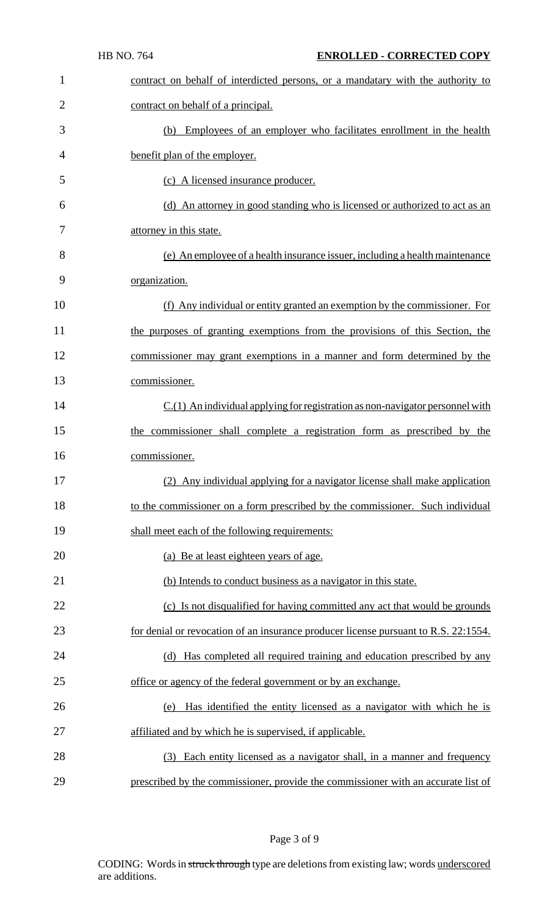|                | <b>HB NO. 764</b>                  | <b>ENROLLED - CORRECTED COPY</b>                                                    |
|----------------|------------------------------------|-------------------------------------------------------------------------------------|
| $\mathbf{1}$   |                                    | contract on behalf of interdicted persons, or a mandatary with the authority to     |
| $\overline{2}$ | contract on behalf of a principal. |                                                                                     |
| 3              |                                    | (b) Employees of an employer who facilitates enrollment in the health               |
| 4              | benefit plan of the employer.      |                                                                                     |
| 5              |                                    | (c) A licensed insurance producer.                                                  |
| 6              |                                    | (d) An attorney in good standing who is licensed or authorized to act as an         |
| 7              | attorney in this state.            |                                                                                     |
| 8              |                                    | (e) An employee of a health insurance issuer, including a health maintenance        |
| 9              | organization.                      |                                                                                     |
| 10             |                                    | (f) Any individual or entity granted an exemption by the commissioner. For          |
| 11             |                                    | the purposes of granting exemptions from the provisions of this Section, the        |
| 12             |                                    | commissioner may grant exemptions in a manner and form determined by the            |
| 13             | commissioner.                      |                                                                                     |
| 14             |                                    | $C(1)$ An individual applying for registration as non-navigator personnel with      |
| 15             |                                    | the commissioner shall complete a registration form as prescribed by the            |
| 16             | commissioner.                      |                                                                                     |
| 17             |                                    | (2) Any individual applying for a navigator license shall make application          |
| 18             |                                    | to the commissioner on a form prescribed by the commissioner. Such individual       |
| 19             |                                    | shall meet each of the following requirements:                                      |
| 20             |                                    | (a) Be at least eighteen years of age.                                              |
| 21             |                                    | (b) Intends to conduct business as a navigator in this state.                       |
| 22             |                                    | (c) Is not disqualified for having committed any act that would be grounds          |
| 23             |                                    | for denial or revocation of an insurance producer license pursuant to R.S. 22:1554. |
| 24             |                                    | (d) Has completed all required training and education prescribed by any             |
| 25             |                                    | office or agency of the federal government or by an exchange.                       |
| 26             | (e)                                | Has identified the entity licensed as a navigator with which he is                  |
| 27             |                                    | affiliated and by which he is supervised, if applicable.                            |
| 28             |                                    | (3) Each entity licensed as a navigator shall, in a manner and frequency            |
| 29             |                                    | prescribed by the commissioner, provide the commissioner with an accurate list of   |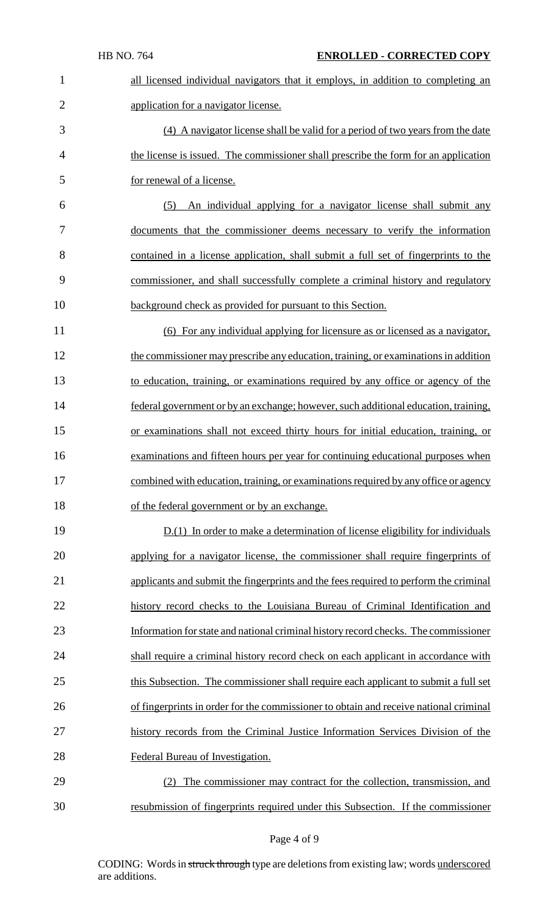| $\mathbf{1}$   | all licensed individual navigators that it employs, in addition to completing an      |
|----------------|---------------------------------------------------------------------------------------|
| $\overline{2}$ | application for a navigator license.                                                  |
| 3              | (4) A navigator license shall be valid for a period of two years from the date        |
| $\overline{4}$ | the license is issued. The commissioner shall prescribe the form for an application   |
| 5              | for renewal of a license.                                                             |
| 6              | An individual applying for a navigator license shall submit any<br>(5)                |
| 7              | documents that the commissioner deems necessary to verify the information             |
| 8              | contained in a license application, shall submit a full set of fingerprints to the    |
| 9              | commissioner, and shall successfully complete a criminal history and regulatory       |
| 10             | background check as provided for pursuant to this Section.                            |
| 11             | (6) For any individual applying for licensure as or licensed as a navigator,          |
| 12             | the commissioner may prescribe any education, training, or examinations in addition   |
| 13             | to education, training, or examinations required by any office or agency of the       |
| 14             | federal government or by an exchange; however, such additional education, training,   |
| 15             | or examinations shall not exceed thirty hours for initial education, training, or     |
| 16             | examinations and fifteen hours per year for continuing educational purposes when      |
| 17             | combined with education, training, or examinations required by any office or agency   |
| 18             | of the federal government or by an exchange.                                          |
| 19             | $D(1)$ In order to make a determination of license eligibility for individuals        |
| 20             | applying for a navigator license, the commissioner shall require fingerprints of      |
| 21             | applicants and submit the fingerprints and the fees required to perform the criminal  |
| 22             | history record checks to the Louisiana Bureau of Criminal Identification and          |
| 23             | Information for state and national criminal history record checks. The commissioner   |
| 24             | shall require a criminal history record check on each applicant in accordance with    |
| 25             | this Subsection. The commissioner shall require each applicant to submit a full set   |
| 26             | of fingerprints in order for the commissioner to obtain and receive national criminal |
| 27             | history records from the Criminal Justice Information Services Division of the        |
| 28             | Federal Bureau of Investigation.                                                      |
| 29             | (2) The commissioner may contract for the collection, transmission, and               |
| 30             | resubmission of fingerprints required under this Subsection. If the commissioner      |

# Page 4 of 9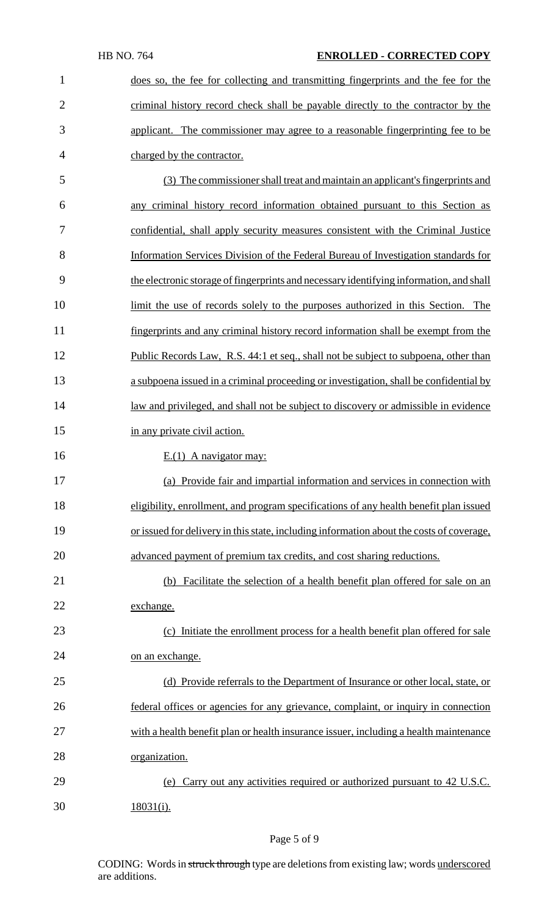#### HB NO. 764 **ENROLLED - CORRECTED COPY**

1 does so, the fee for collecting and transmitting fingerprints and the fee for the 2 criminal history record check shall be payable directly to the contractor by the applicant. The commissioner may agree to a reasonable fingerprinting fee to be charged by the contractor.

 (3) The commissioner shall treat and maintain an applicant's fingerprints and any criminal history record information obtained pursuant to this Section as confidential, shall apply security measures consistent with the Criminal Justice Information Services Division of the Federal Bureau of Investigation standards for the electronic storage offingerprints and necessary identifying information, and shall 10 limit the use of records solely to the purposes authorized in this Section. The fingerprints and any criminal history record information shall be exempt from the Public Records Law, R.S. 44:1 et seq., shall not be subject to subpoena, other than a subpoena issued in a criminal proceeding or investigation, shall be confidential by law and privileged, and shall not be subject to discovery or admissible in evidence in any private civil action.

16 E.(1) A navigator may:

 (a) Provide fair and impartial information and services in connection with eligibility, enrollment, and program specifications of any health benefit plan issued or issued for delivery in thisstate, including information about the costs of coverage, advanced payment of premium tax credits, and cost sharing reductions.

 (b) Facilitate the selection of a health benefit plan offered for sale on an exchange.

 (c) Initiate the enrollment process for a health benefit plan offered for sale 24 on an exchange.

 (d) Provide referrals to the Department of Insurance or other local, state, or federal offices or agencies for any grievance, complaint, or inquiry in connection 27 with a health benefit plan or health insurance issuer, including a health maintenance organization.

 (e) Carry out any activities required or authorized pursuant to 42 U.S.C. 18031(i).

#### Page 5 of 9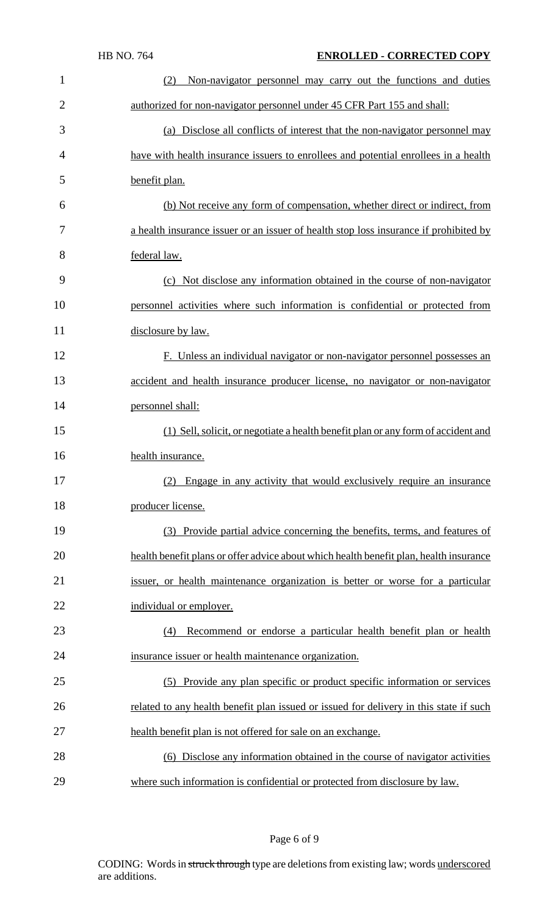|    | <b>HB NO. 764</b>       | <b>ENROLLED - CORRECTED COPY</b>                                                       |
|----|-------------------------|----------------------------------------------------------------------------------------|
| 1  | (2)                     | Non-navigator personnel may carry out the functions and duties                         |
| 2  |                         | authorized for non-navigator personnel under 45 CFR Part 155 and shall:                |
| 3  |                         | (a) Disclose all conflicts of interest that the non-navigator personnel may            |
| 4  |                         | have with health insurance issuers to enrollees and potential enrollees in a health    |
| 5  | benefit plan.           |                                                                                        |
| 6  |                         | (b) Not receive any form of compensation, whether direct or indirect, from             |
| 7  |                         | a health insurance issuer or an issuer of health stop loss insurance if prohibited by  |
| 8  | federal law.            |                                                                                        |
| 9  |                         | (c) Not disclose any information obtained in the course of non-navigator               |
| 10 |                         | personnel activities where such information is confidential or protected from          |
| 11 | disclosure by law.      |                                                                                        |
| 12 |                         | F. Unless an individual navigator or non-navigator personnel possesses an              |
| 13 |                         | accident and health insurance producer license, no navigator or non-navigator          |
| 14 | personnel shall:        |                                                                                        |
| 15 |                         | (1) Sell, solicit, or negotiate a health benefit plan or any form of accident and      |
| 16 | health insurance.       |                                                                                        |
| 17 | (2)                     | Engage in any activity that would exclusively require an insurance                     |
| 18 | producer license.       |                                                                                        |
| 19 |                         | (3) Provide partial advice concerning the benefits, terms, and features of             |
| 20 |                         | health benefit plans or offer advice about which health benefit plan, health insurance |
| 21 |                         | issuer, or health maintenance organization is better or worse for a particular         |
| 22 | individual or employer. |                                                                                        |
| 23 | (4)                     | Recommend or endorse a particular health benefit plan or health                        |
| 24 |                         | insurance issuer or health maintenance organization.                                   |
| 25 |                         | (5) Provide any plan specific or product specific information or services              |
| 26 |                         | related to any health benefit plan issued or issued for delivery in this state if such |
| 27 |                         | health benefit plan is not offered for sale on an exchange.                            |
| 28 |                         | (6) Disclose any information obtained in the course of navigator activities            |
| 29 |                         | where such information is confidential or protected from disclosure by law.            |

# Page 6 of 9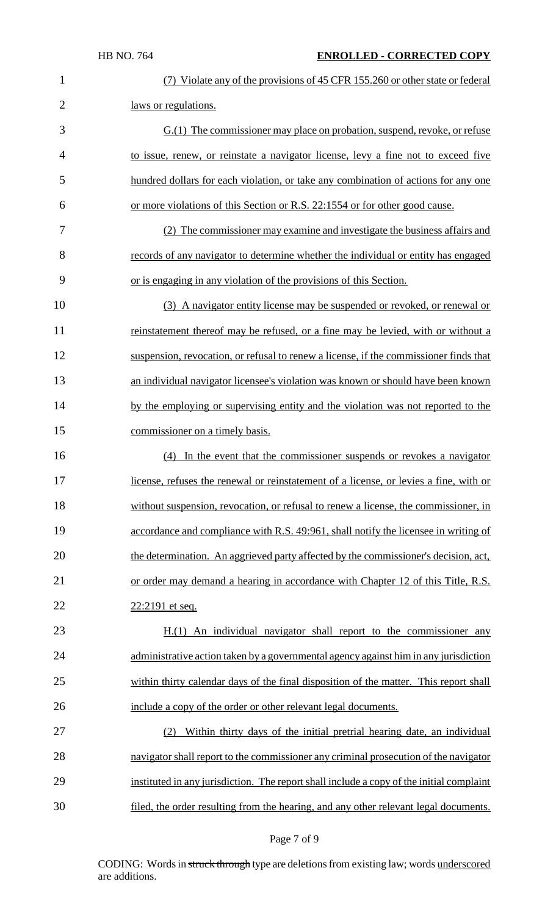| $\mathbf{1}$   | (7) Violate any of the provisions of 45 CFR 155.260 or other state or federal            |
|----------------|------------------------------------------------------------------------------------------|
| $\overline{2}$ | laws or regulations.                                                                     |
| 3              | $G(1)$ The commissioner may place on probation, suspend, revoke, or refuse               |
| 4              | to issue, renew, or reinstate a navigator license, levy a fine not to exceed five        |
| 5              | hundred dollars for each violation, or take any combination of actions for any one       |
| 6              | or more violations of this Section or R.S. 22:1554 or for other good cause.              |
| 7              | (2) The commissioner may examine and investigate the business affairs and                |
| 8              | records of any navigator to determine whether the individual or entity has engaged       |
| 9              | or is engaging in any violation of the provisions of this Section.                       |
| 10             | (3) A navigator entity license may be suspended or revoked, or renewal or                |
| 11             | reinstatement thereof may be refused, or a fine may be levied, with or without a         |
| 12             | suspension, revocation, or refusal to renew a license, if the commissioner finds that    |
| 13             | an individual navigator licensee's violation was known or should have been known         |
| 14             | by the employing or supervising entity and the violation was not reported to the         |
| 15             | commissioner on a timely basis.                                                          |
| 16             | (4) In the event that the commissioner suspends or revokes a navigator                   |
| 17             | license, refuses the renewal or reinstatement of a license, or levies a fine, with or    |
| 18             | without suspension, revocation, or refusal to renew a license, the commissioner, in      |
| 19             | accordance and compliance with R.S. 49:961, shall notify the licensee in writing of      |
| 20             | the determination. An aggrieved party affected by the commissioner's decision, act,      |
| 21             | or order may demand a hearing in accordance with Chapter 12 of this Title, R.S.          |
| 22             | 22:2191 et seq.                                                                          |
| 23             | $H(1)$ An individual navigator shall report to the commissioner any                      |
| 24             | administrative action taken by a governmental agency against him in any jurisdiction     |
| 25             | within thirty calendar days of the final disposition of the matter. This report shall    |
| 26             | include a copy of the order or other relevant legal documents.                           |
| 27             | Within thirty days of the initial pretrial hearing date, an individual<br>(2)            |
| 28             | navigator shall report to the commissioner any criminal prosecution of the navigator     |
| 29             | instituted in any jurisdiction. The report shall include a copy of the initial complaint |
| 30             | filed, the order resulting from the hearing, and any other relevant legal documents.     |

# Page 7 of 9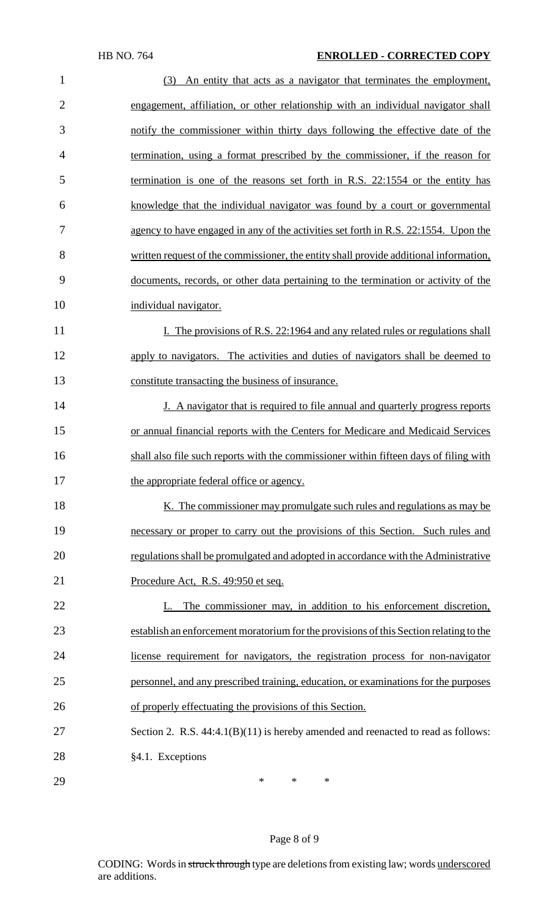### HB NO. 764 **ENROLLED - CORRECTED COPY**

| 1              | (3) An entity that acts as a navigator that terminates the employment,                 |
|----------------|----------------------------------------------------------------------------------------|
| $\overline{2}$ | engagement, affiliation, or other relationship with an individual navigator shall      |
| 3              | notify the commissioner within thirty days following the effective date of the         |
| $\overline{4}$ | termination, using a format prescribed by the commissioner, if the reason for          |
| 5              | termination is one of the reasons set forth in R.S. 22:1554 or the entity has          |
| 6              | knowledge that the individual navigator was found by a court or governmental           |
| 7              | agency to have engaged in any of the activities set forth in R.S. 22:1554. Upon the    |
| 8              | written request of the commissioner, the entity shall provide additional information,  |
| 9              | documents, records, or other data pertaining to the termination or activity of the     |
| 10             | individual navigator.                                                                  |
| 11             | I. The provisions of R.S. 22:1964 and any related rules or regulations shall           |
| 12             | apply to navigators. The activities and duties of navigators shall be deemed to        |
| 13             | constitute transacting the business of insurance.                                      |
| 14             | <u>J. A navigator that is required to file annual and quarterly progress reports</u>   |
| 15             | or annual financial reports with the Centers for Medicare and Medicaid Services        |
| 16             | shall also file such reports with the commissioner within fifteen days of filing with  |
| 17             | the appropriate federal office or agency.                                              |
| 18             | K. The commissioner may promulgate such rules and regulations as may be                |
| 19             | necessary or proper to carry out the provisions of this Section. Such rules and        |
| 20             | regulations shall be promulgated and adopted in accordance with the Administrative     |
| 21             | <u>Procedure Act, R.S. 49:950 et seq.</u>                                              |
| 22             | L. The commissioner may, in addition to his enforcement discretion,                    |
| 23             | establish an enforcement moratorium for the provisions of this Section relating to the |
| 24             | license requirement for navigators, the registration process for non-navigator         |
| 25             | personnel, and any prescribed training, education, or examinations for the purposes    |
| 26             | of properly effectuating the provisions of this Section.                               |
| 27             | Section 2. R.S. $44:4.1(B)(11)$ is hereby amended and reenacted to read as follows:    |
| 28             | §4.1. Exceptions                                                                       |
| 29             | *<br>$\ast$<br>$\ast$                                                                  |

# Page 8 of 9